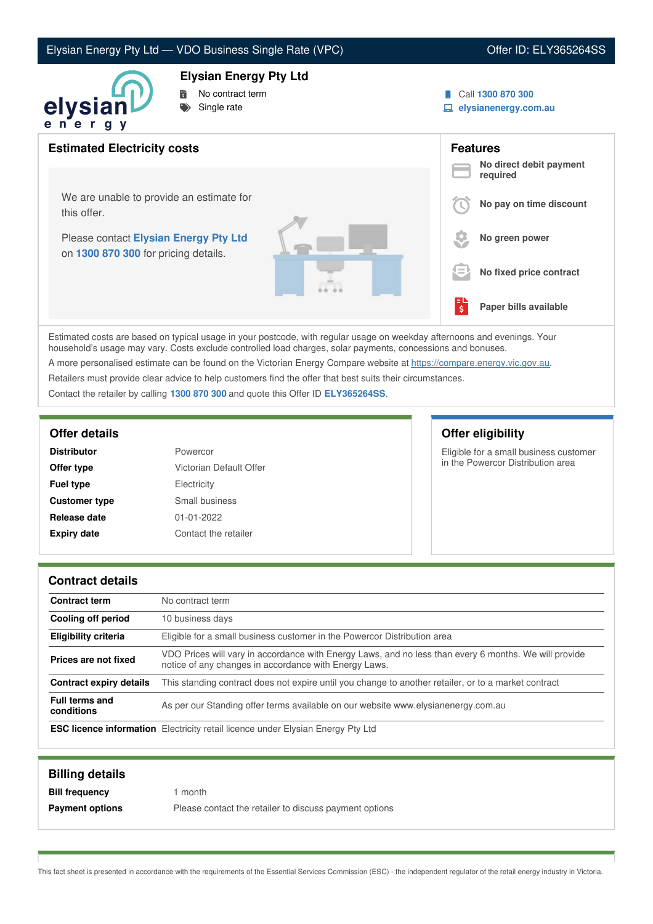# Elysian Energy Pty Ltd — VDO Business Single Rate (VPC) Vera Contract Contract Contract Contract Contract Co

## **Elysian Energy Pty Ltd**



- **No contract term**
- $Single$  rate
- Call **1300 870 300**
- **elysianenergy.com.au**



Estimated costs are based on typical usage in your postcode, with regular usage on weekday afternoons and evenings. Your household's usage may vary. Costs exclude controlled load charges, solar payments, concessions and bonuses.

A more personalised estimate can be found on the Victorian Energy Compare website at <https://compare.energy.vic.gov.au>.

Retailers must provide clear advice to help customers find the offer that best suits their circumstances.

Contact the retailer by calling **1300 870 300** and quote this Offer ID **ELY365264SS**.

| <b>Distributor</b>   | Powercor                |
|----------------------|-------------------------|
| Offer type           | Victorian Default Offer |
| <b>Fuel type</b>     | Electricity             |
| <b>Customer type</b> | Small business          |
| Release date         | $01 - 01 - 2022$        |
| <b>Expiry date</b>   | Contact the retailer    |

# **Offer details Offer eligibility**

Eligible for a small business customer in the Powercor Distribution area

#### **Contract details**

| <b>Contract term</b>                | No contract term                                                                                                                                               |  |
|-------------------------------------|----------------------------------------------------------------------------------------------------------------------------------------------------------------|--|
| Cooling off period                  | 10 business days                                                                                                                                               |  |
| <b>Eligibility criteria</b>         | Eligible for a small business customer in the Powercor Distribution area                                                                                       |  |
| Prices are not fixed                | VDO Prices will vary in accordance with Energy Laws, and no less than every 6 months. We will provide<br>notice of any changes in accordance with Energy Laws. |  |
| <b>Contract expiry details</b>      | This standing contract does not expire until you change to another retailer, or to a market contract                                                           |  |
| <b>Full terms and</b><br>conditions | As per our Standing offer terms available on our website www.elysianenergy.com.au                                                                              |  |
|                                     | <b>ESC licence information</b> Electricity retail licence under Elysian Energy Pty Ltd                                                                         |  |

| <b>Billing details</b> |                                                        |
|------------------------|--------------------------------------------------------|
| <b>Bill frequency</b>  | month                                                  |
| <b>Payment options</b> | Please contact the retailer to discuss payment options |